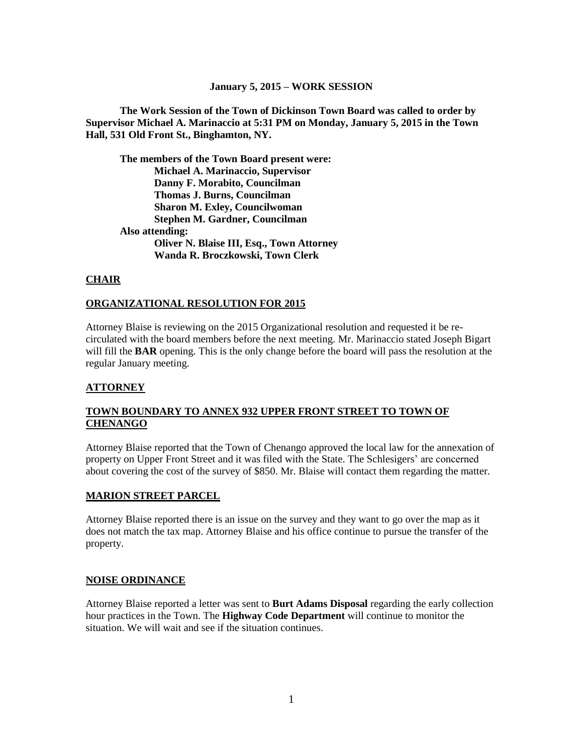#### **January 5, 2015 – WORK SESSION**

**The Work Session of the Town of Dickinson Town Board was called to order by Supervisor Michael A. Marinaccio at 5:31 PM on Monday, January 5, 2015 in the Town Hall, 531 Old Front St., Binghamton, NY.**

**The members of the Town Board present were: Michael A. Marinaccio, Supervisor Danny F. Morabito, Councilman Thomas J. Burns, Councilman Sharon M. Exley, Councilwoman Stephen M. Gardner, Councilman Also attending: Oliver N. Blaise III, Esq., Town Attorney Wanda R. Broczkowski, Town Clerk**

## **CHAIR**

## **ORGANIZATIONAL RESOLUTION FOR 2015**

Attorney Blaise is reviewing on the 2015 Organizational resolution and requested it be recirculated with the board members before the next meeting. Mr. Marinaccio stated Joseph Bigart will fill the **BAR** opening. This is the only change before the board will pass the resolution at the regular January meeting.

## **ATTORNEY**

## **TOWN BOUNDARY TO ANNEX 932 UPPER FRONT STREET TO TOWN OF CHENANGO**

Attorney Blaise reported that the Town of Chenango approved the local law for the annexation of property on Upper Front Street and it was filed with the State. The Schlesigers' are concerned about covering the cost of the survey of \$850. Mr. Blaise will contact them regarding the matter.

## **MARION STREET PARCEL**

Attorney Blaise reported there is an issue on the survey and they want to go over the map as it does not match the tax map. Attorney Blaise and his office continue to pursue the transfer of the property.

## **NOISE ORDINANCE**

Attorney Blaise reported a letter was sent to **Burt Adams Disposal** regarding the early collection hour practices in the Town. The **Highway Code Department** will continue to monitor the situation. We will wait and see if the situation continues.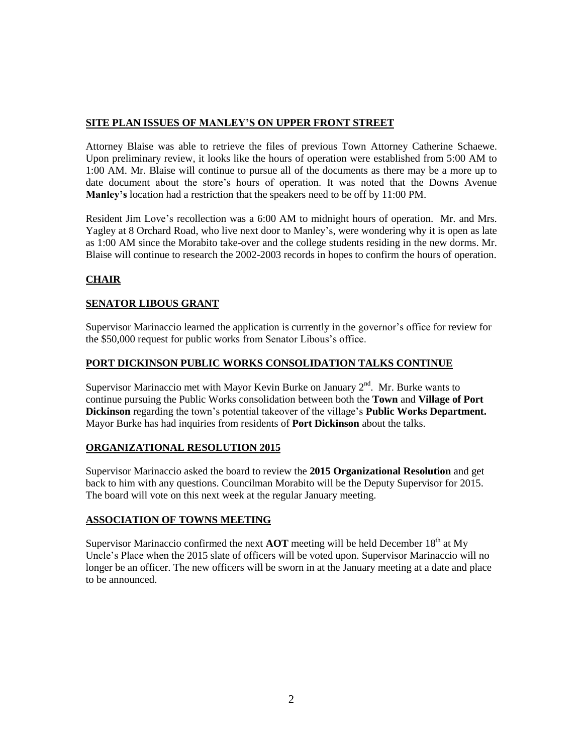## **SITE PLAN ISSUES OF MANLEY'S ON UPPER FRONT STREET**

Attorney Blaise was able to retrieve the files of previous Town Attorney Catherine Schaewe. Upon preliminary review, it looks like the hours of operation were established from 5:00 AM to 1:00 AM. Mr. Blaise will continue to pursue all of the documents as there may be a more up to date document about the store's hours of operation. It was noted that the Downs Avenue **Manley's** location had a restriction that the speakers need to be off by 11:00 PM.

Resident Jim Love's recollection was a 6:00 AM to midnight hours of operation. Mr. and Mrs. Yagley at 8 Orchard Road, who live next door to Manley's, were wondering why it is open as late as 1:00 AM since the Morabito take-over and the college students residing in the new dorms. Mr. Blaise will continue to research the 2002-2003 records in hopes to confirm the hours of operation.

# **CHAIR**

## **SENATOR LIBOUS GRANT**

Supervisor Marinaccio learned the application is currently in the governor's office for review for the \$50,000 request for public works from Senator Libous's office.

## **PORT DICKINSON PUBLIC WORKS CONSOLIDATION TALKS CONTINUE**

Supervisor Marinaccio met with Mayor Kevin Burke on January  $2<sup>nd</sup>$ . Mr. Burke wants to continue pursuing the Public Works consolidation between both the **Town** and **Village of Port Dickinson** regarding the town's potential takeover of the village's **Public Works Department.** Mayor Burke has had inquiries from residents of **Port Dickinson** about the talks.

## **ORGANIZATIONAL RESOLUTION 2015**

Supervisor Marinaccio asked the board to review the **2015 Organizational Resolution** and get back to him with any questions. Councilman Morabito will be the Deputy Supervisor for 2015. The board will vote on this next week at the regular January meeting.

## **ASSOCIATION OF TOWNS MEETING**

Supervisor Marinaccio confirmed the next  $AOT$  meeting will be held December  $18<sup>th</sup>$  at My Uncle's Place when the 2015 slate of officers will be voted upon. Supervisor Marinaccio will no longer be an officer. The new officers will be sworn in at the January meeting at a date and place to be announced.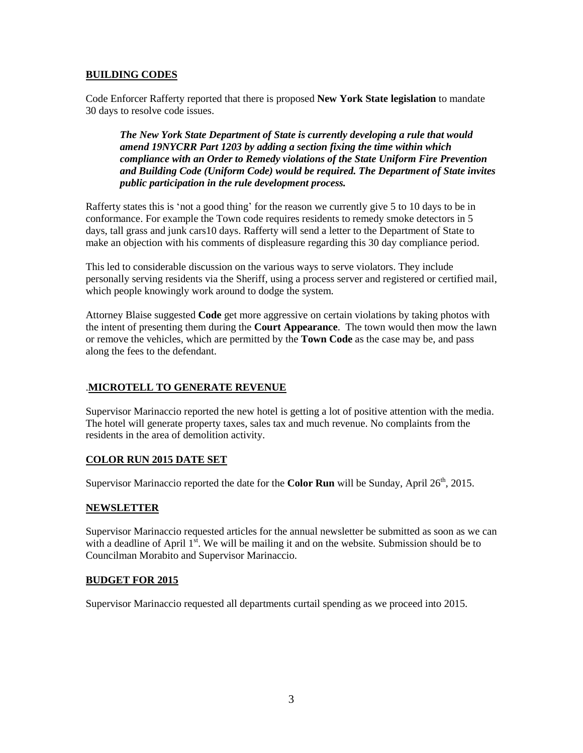## **BUILDING CODES**

Code Enforcer Rafferty reported that there is proposed **New York State legislation** to mandate 30 days to resolve code issues.

*The New York State Department of State is currently developing a rule that would amend 19NYCRR Part 1203 by adding a section fixing the time within which compliance with an Order to Remedy violations of the State Uniform Fire Prevention and Building Code (Uniform Code) would be required. The Department of State invites public participation in the rule development process.*

Rafferty states this is 'not a good thing' for the reason we currently give 5 to 10 days to be in conformance. For example the Town code requires residents to remedy smoke detectors in 5 days, tall grass and junk cars10 days. Rafferty will send a letter to the Department of State to make an objection with his comments of displeasure regarding this 30 day compliance period.

This led to considerable discussion on the various ways to serve violators. They include personally serving residents via the Sheriff, using a process server and registered or certified mail, which people knowingly work around to dodge the system.

Attorney Blaise suggested **Code** get more aggressive on certain violations by taking photos with the intent of presenting them during the **Court Appearance**. The town would then mow the lawn or remove the vehicles, which are permitted by the **Town Code** as the case may be, and pass along the fees to the defendant.

## .**MICROTELL TO GENERATE REVENUE**

Supervisor Marinaccio reported the new hotel is getting a lot of positive attention with the media. The hotel will generate property taxes, sales tax and much revenue. No complaints from the residents in the area of demolition activity.

## **COLOR RUN 2015 DATE SET**

Supervisor Marinaccio reported the date for the **Color Run** will be Sunday, April 26<sup>th</sup>, 2015.

## **NEWSLETTER**

Supervisor Marinaccio requested articles for the annual newsletter be submitted as soon as we can with a deadline of April  $1^{st}$ . We will be mailing it and on the website. Submission should be to Councilman Morabito and Supervisor Marinaccio.

## **BUDGET FOR 2015**

Supervisor Marinaccio requested all departments curtail spending as we proceed into 2015.